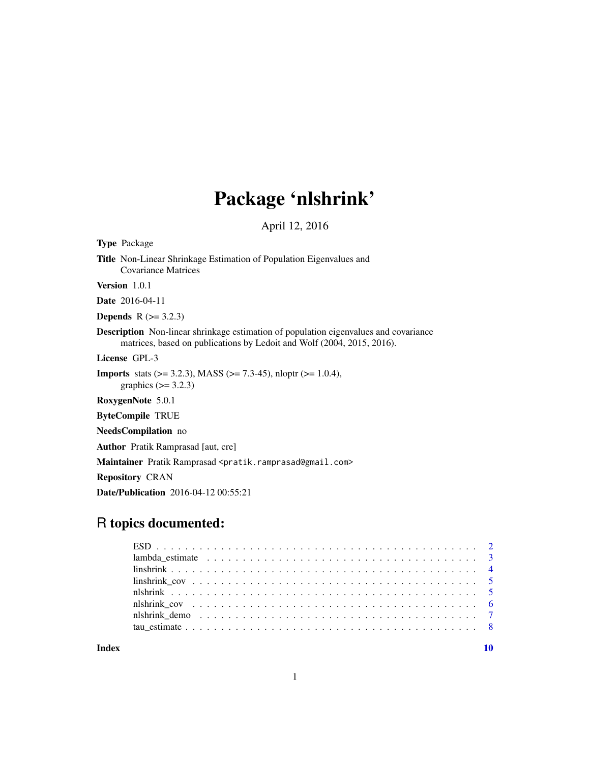# Package 'nlshrink'

April 12, 2016

<span id="page-0-0"></span>

| <b>Type</b> Package                                                                                                                                                   |
|-----------------------------------------------------------------------------------------------------------------------------------------------------------------------|
| <b>Title</b> Non-Linear Shrinkage Estimation of Population Eigenvalues and<br><b>Covariance Matrices</b>                                                              |
| <b>Version</b> $1.0.1$                                                                                                                                                |
| <b>Date</b> 2016-04-11                                                                                                                                                |
| <b>Depends</b> $R (= 3.2.3)$                                                                                                                                          |
| <b>Description</b> Non-linear shrinkage estimation of population eigenvalues and covariance<br>matrices, based on publications by Ledoit and Wolf (2004, 2015, 2016). |
| License GPL-3                                                                                                                                                         |
| <b>Imports</b> stats $(>= 3.2.3)$ , MASS $(>= 7.3-45)$ , nloptr $(>= 1.0.4)$ ,<br>graphics $(\geq 3.2.3)$                                                             |
| RoxygenNote 5.0.1                                                                                                                                                     |
| <b>ByteCompile TRUE</b>                                                                                                                                               |
| <b>NeedsCompilation</b> no                                                                                                                                            |
| <b>Author</b> Pratik Ramprasad [aut, cre]                                                                                                                             |
| Maintainer Pratik Ramprasad <pratik.ramprasad@gmail.com></pratik.ramprasad@gmail.com>                                                                                 |
| <b>Repository CRAN</b>                                                                                                                                                |
| <b>Date/Publication</b> 2016-04-12 00:55:21                                                                                                                           |

# R topics documented:

| lambda estimate $\ldots \ldots \ldots \ldots \ldots \ldots \ldots \ldots \ldots \ldots \ldots \ldots$ |  |
|-------------------------------------------------------------------------------------------------------|--|
|                                                                                                       |  |
|                                                                                                       |  |
|                                                                                                       |  |
|                                                                                                       |  |
| nlshrink demo                                                                                         |  |
|                                                                                                       |  |
|                                                                                                       |  |

 $\blacksquare$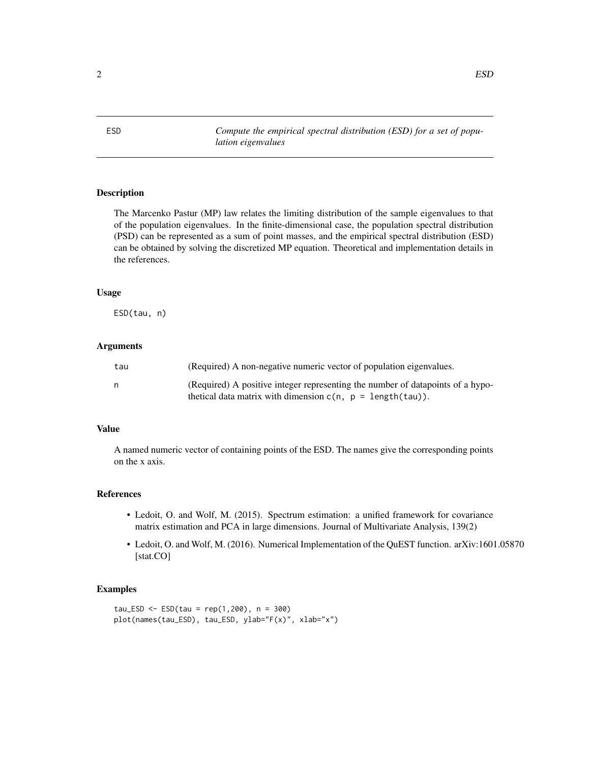<span id="page-1-0"></span>ESD *Compute the empirical spectral distribution (ESD) for a set of population eigenvalues*

# Description

The Marcenko Pastur (MP) law relates the limiting distribution of the sample eigenvalues to that of the population eigenvalues. In the finite-dimensional case, the population spectral distribution (PSD) can be represented as a sum of point masses, and the empirical spectral distribution (ESD) can be obtained by solving the discretized MP equation. Theoretical and implementation details in the references.

#### Usage

ESD(tau, n)

# **Arguments**

| tau | (Required) A non-negative numeric vector of population eigenvalues.                                                                             |
|-----|-------------------------------------------------------------------------------------------------------------------------------------------------|
| n   | (Required) A positive integer representing the number of datapoints of a hypo-<br>thetical data matrix with dimension $c(n, p = length(tau))$ . |

# Value

A named numeric vector of containing points of the ESD. The names give the corresponding points on the x axis.

#### References

- Ledoit, O. and Wolf, M. (2015). Spectrum estimation: a unified framework for covariance matrix estimation and PCA in large dimensions. Journal of Multivariate Analysis, 139(2)
- Ledoit, O. and Wolf, M. (2016). Numerical Implementation of the QuEST function. arXiv:1601.05870 [stat.CO]

#### Examples

 $tau$ ESD <- ESD(tau = rep(1,200), n = 300) plot(names(tau\_ESD), tau\_ESD, ylab="F(x)", xlab="x")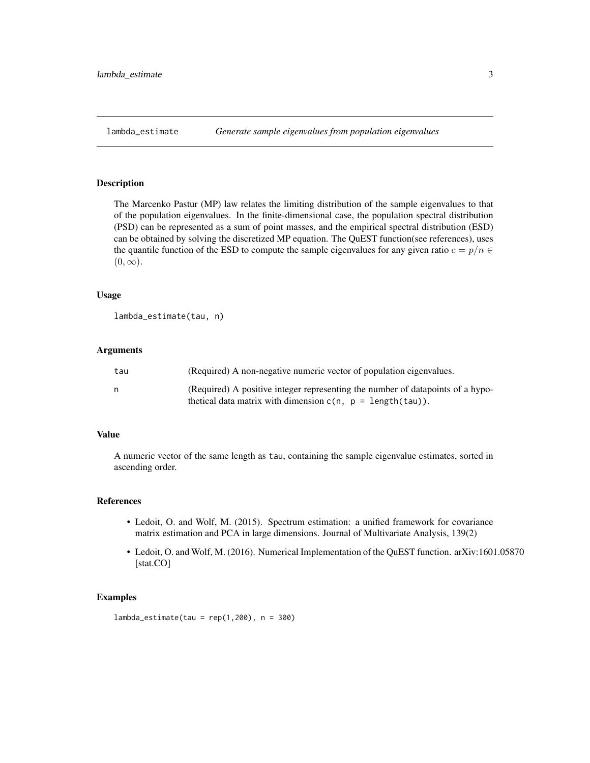<span id="page-2-0"></span>

### Description

The Marcenko Pastur (MP) law relates the limiting distribution of the sample eigenvalues to that of the population eigenvalues. In the finite-dimensional case, the population spectral distribution (PSD) can be represented as a sum of point masses, and the empirical spectral distribution (ESD) can be obtained by solving the discretized MP equation. The QuEST function(see references), uses the quantile function of the ESD to compute the sample eigenvalues for any given ratio  $c = p/n \in$  $(0, \infty)$ .

#### Usage

```
lambda_estimate(tau, n)
```
# Arguments

| tau | (Required) A non-negative numeric vector of population eigenvalues.            |
|-----|--------------------------------------------------------------------------------|
| n   | (Required) A positive integer representing the number of datapoints of a hypo- |
|     | thetical data matrix with dimension $c(n, p = length(tau))$ .                  |

# Value

A numeric vector of the same length as tau, containing the sample eigenvalue estimates, sorted in ascending order.

# References

- Ledoit, O. and Wolf, M. (2015). Spectrum estimation: a unified framework for covariance matrix estimation and PCA in large dimensions. Journal of Multivariate Analysis, 139(2)
- Ledoit, O. and Wolf, M. (2016). Numerical Implementation of the QuEST function. arXiv:1601.05870 [stat.CO]

#### Examples

lambda\_estimate(tau = rep(1,200), n = 300)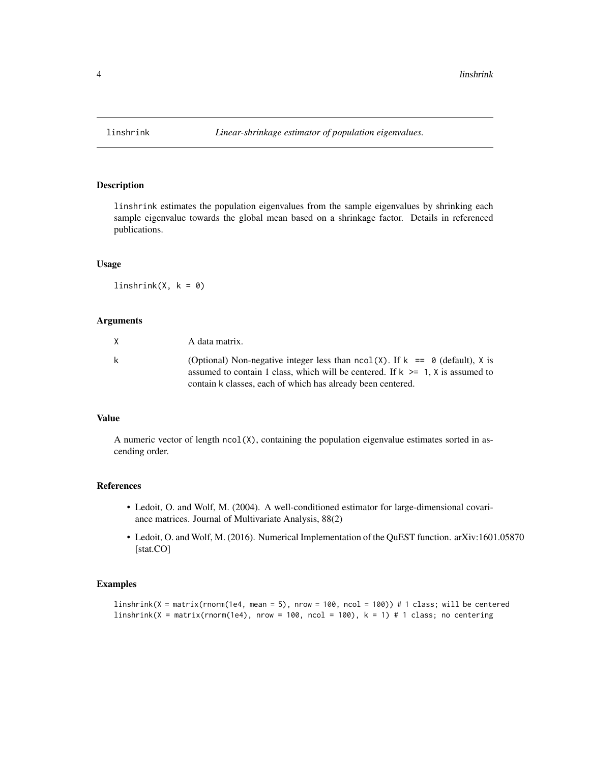<span id="page-3-1"></span><span id="page-3-0"></span>

# Description

linshrink estimates the population eigenvalues from the sample eigenvalues by shrinking each sample eigenvalue towards the global mean based on a shrinkage factor. Details in referenced publications.

# Usage

 $linshrink(X, k = 0)$ 

#### Arguments

| X  | A data matrix.                                                                                                                                                          |
|----|-------------------------------------------------------------------------------------------------------------------------------------------------------------------------|
| k. | (Optional) Non-negative integer less than $ncol(X)$ . If $k == 0$ (default), X is<br>assumed to contain 1 class, which will be centered. If $k \ge 1$ , X is assumed to |
|    | contain k classes, each of which has already been centered.                                                                                                             |

# Value

A numeric vector of length ncol(X), containing the population eigenvalue estimates sorted in ascending order.

#### References

- Ledoit, O. and Wolf, M. (2004). A well-conditioned estimator for large-dimensional covariance matrices. Journal of Multivariate Analysis, 88(2)
- Ledoit, O. and Wolf, M. (2016). Numerical Implementation of the QuEST function. arXiv:1601.05870 [stat.CO]

#### Examples

```
linshrink(X = matrix(rnorm(1e4, mean = 5), nrow = 100, ncol = 100)) # 1 class; will be centered
linshrink(X = matrix(rnorm(1e4), nrow = 100, ncol = 100), k = 1) # 1 class; no centering
```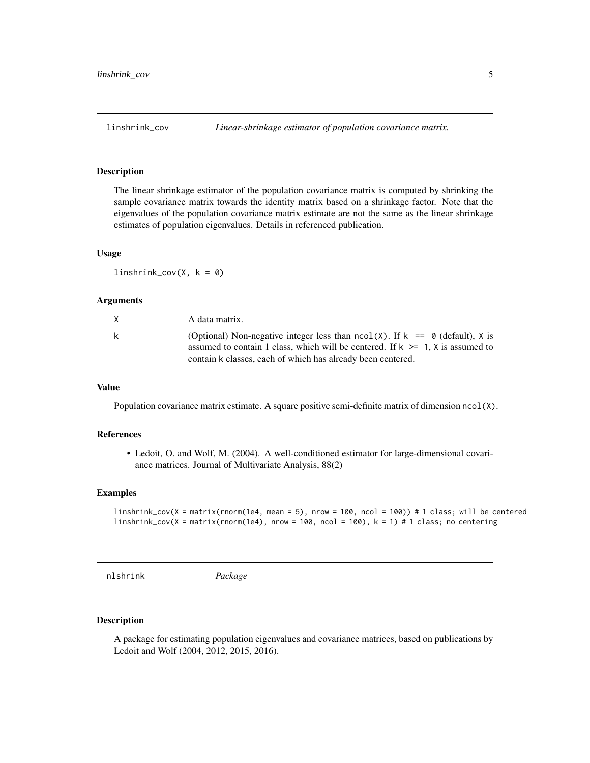<span id="page-4-0"></span>

#### Description

The linear shrinkage estimator of the population covariance matrix is computed by shrinking the sample covariance matrix towards the identity matrix based on a shrinkage factor. Note that the eigenvalues of the population covariance matrix estimate are not the same as the linear shrinkage estimates of population eigenvalues. Details in referenced publication.

# Usage

 $linshrink_{cov}(X, k = 0)$ 

### Arguments

| X | A data matrix.                                                                                                                                                                                                                         |
|---|----------------------------------------------------------------------------------------------------------------------------------------------------------------------------------------------------------------------------------------|
| k | (Optional) Non-negative integer less than $ncol(X)$ . If $k == 0$ (default), X is<br>assumed to contain 1 class, which will be centered. If $k \ge 1$ , X is assumed to<br>contain k classes, each of which has already been centered. |

# Value

Population covariance matrix estimate. A square positive semi-definite matrix of dimension ncol(X).

# References

• Ledoit, O. and Wolf, M. (2004). A well-conditioned estimator for large-dimensional covariance matrices. Journal of Multivariate Analysis, 88(2)

# Examples

```
linshrink_cov(X = matrix(rnorm(1e4, mean = 5), nrow = 100, ncol = 100)) # 1 class; will be centered
linshrink_cov(X = matrix(rnorm(1e4), nrow = 100, ncol = 100), k = 1) # 1 class; no centering
```
nlshrink *Package*

#### Description

A package for estimating population eigenvalues and covariance matrices, based on publications by Ledoit and Wolf (2004, 2012, 2015, 2016).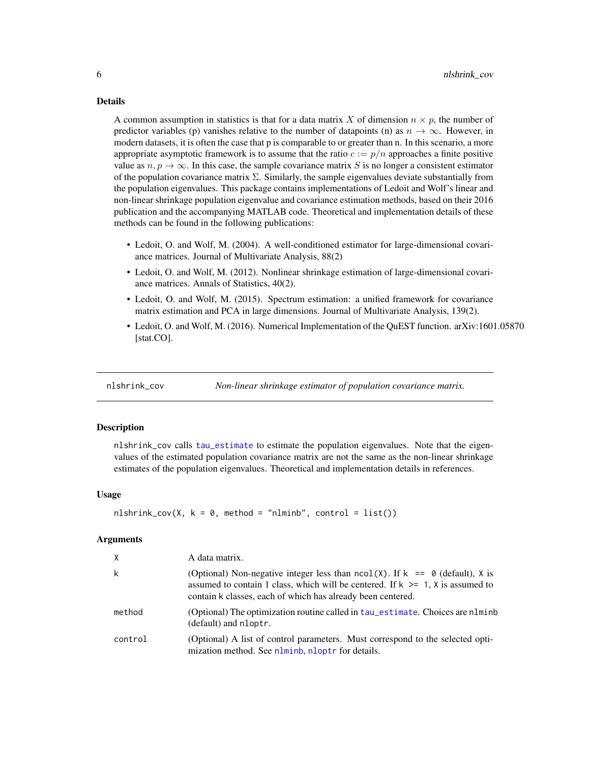#### Details

A common assumption in statistics is that for a data matrix X of dimension  $n \times p$ , the number of predictor variables (p) vanishes relative to the number of datapoints (n) as  $n \to \infty$ . However, in modern datasets, it is often the case that p is comparable to or greater than n. In this scenario, a more appropriate asymptotic framework is to assume that the ratio  $c := p/n$  approaches a finite positive value as  $n, p \to \infty$ . In this case, the sample covariance matrix S is no longer a consistent estimator of the population covariance matrix  $\Sigma$ . Similarly, the sample eigenvalues deviate substantially from the population eigenvalues. This package contains implementations of Ledoit and Wolf's linear and non-linear shrinkage population eigenvalue and covariance estimation methods, based on their 2016 publication and the accompanying MATLAB code. Theoretical and implementation details of these methods can be found in the following publications:

- Ledoit, O. and Wolf, M. (2004). A well-conditioned estimator for large-dimensional covariance matrices. Journal of Multivariate Analysis, 88(2)
- Ledoit, O. and Wolf, M. (2012). Nonlinear shrinkage estimation of large-dimensional covariance matrices. Annals of Statistics, 40(2).
- Ledoit, O. and Wolf, M. (2015). Spectrum estimation: a unified framework for covariance matrix estimation and PCA in large dimensions. Journal of Multivariate Analysis, 139(2).
- Ledoit, O. and Wolf, M. (2016). Numerical Implementation of the QuEST function. arXiv:1601.05870 [stat.CO].

nlshrink\_cov *Non-linear shrinkage estimator of population covariance matrix.*

# Description

nlshrink\_cov calls [tau\\_estimate](#page-7-1) to estimate the population eigenvalues. Note that the eigenvalues of the estimated population covariance matrix are not the same as the non-linear shrinkage estimates of the population eigenvalues. Theoretical and implementation details in references.

#### Usage

```
nlshrink_cov(X, k = 0, method = "nlminb", control = list())
```
# **Arguments**

| X       | A data matrix.                                                                                                                                                                                                                         |
|---------|----------------------------------------------------------------------------------------------------------------------------------------------------------------------------------------------------------------------------------------|
| k       | (Optional) Non-negative integer less than $ncol(X)$ . If $k == 0$ (default), X is<br>assumed to contain 1 class, which will be centered. If $k \ge 1$ , X is assumed to<br>contain k classes, each of which has already been centered. |
| method  | (Optional) The optimization routine called in tau estimate. Choices are nlminb<br>(default) and nloptr.                                                                                                                                |
| control | (Optional) A list of control parameters. Must correspond to the selected opti-<br>mization method. See nlminb, nloptr for details.                                                                                                     |

<span id="page-5-0"></span>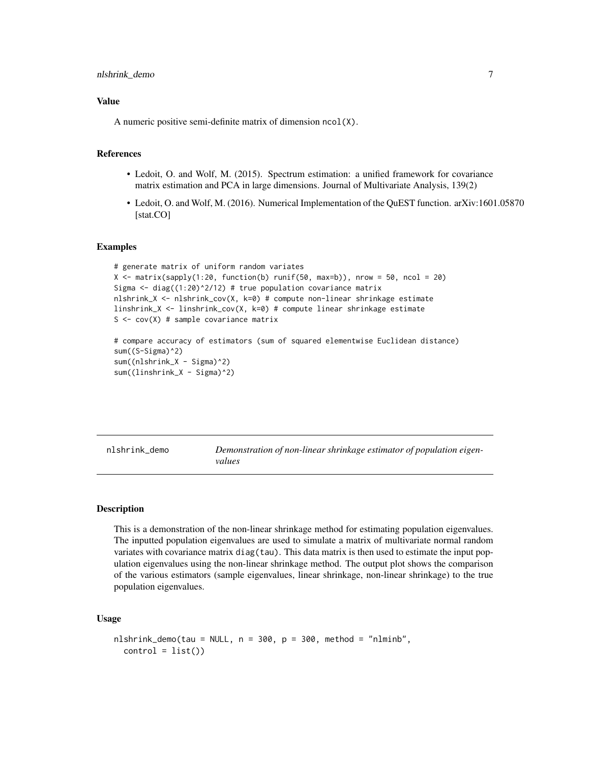#### <span id="page-6-0"></span>Value

A numeric positive semi-definite matrix of dimension ncol(X).

# References

- Ledoit, O. and Wolf, M. (2015). Spectrum estimation: a unified framework for covariance matrix estimation and PCA in large dimensions. Journal of Multivariate Analysis, 139(2)
- Ledoit, O. and Wolf, M. (2016). Numerical Implementation of the QuEST function. arXiv:1601.05870 [stat.CO]

# Examples

```
# generate matrix of uniform random variates
X \leftarrow matrix(sapply(1:20, function(b) runif(50, max=b)), nrow = 50, ncol = 20)
Sigma \leq diag((1:20)^2/12) # true population covariance matrix
nlshrink_X <- nlshrink_cov(X, k=0) # compute non-linear shrinkage estimate
linshrink_X <- linshrink_cov(X, k=0) # compute linear shrinkage estimate
S \leq cov(X) # sample covariance matrix
# compare accuracy of estimators (sum of squared elementwise Euclidean distance)
sum((S-Sigma)^2)
sum((nlshrink_X - Sigma)^2)
sum((linshrink_X - Sigma)^2)
```

|  | nlshrink_demo |  |  |
|--|---------------|--|--|
|--|---------------|--|--|

Demonstration of non-linear shrinkage estimator of population eigen*values*

#### Description

This is a demonstration of the non-linear shrinkage method for estimating population eigenvalues. The inputted population eigenvalues are used to simulate a matrix of multivariate normal random variates with covariance matrix diag(tau). This data matrix is then used to estimate the input population eigenvalues using the non-linear shrinkage method. The output plot shows the comparison of the various estimators (sample eigenvalues, linear shrinkage, non-linear shrinkage) to the true population eigenvalues.

#### Usage

```
nlshrink_demo(tau = NULL, n = 300, p = 300, method = "nlminb",control = list()
```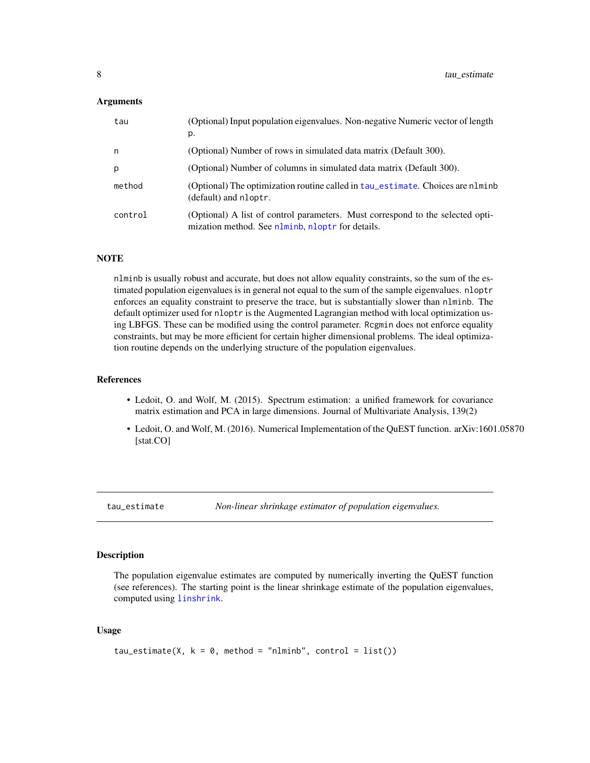#### <span id="page-7-0"></span>**Arguments**

| tau     | (Optional) Input population eigenvalues. Non-negative Numeric vector of length<br>p.                                               |
|---------|------------------------------------------------------------------------------------------------------------------------------------|
| n       | (Optional) Number of rows in simulated data matrix (Default 300).                                                                  |
| p       | (Optional) Number of columns in simulated data matrix (Default 300).                                                               |
| method  | (Optional) The optimization routine called in tau_estimate. Choices are n1minb<br>(default) and nloptr.                            |
| control | (Optional) A list of control parameters. Must correspond to the selected opti-<br>mization method. See nlminb, nloptr for details. |

#### **NOTE**

nlminb is usually robust and accurate, but does not allow equality constraints, so the sum of the estimated population eigenvalues is in general not equal to the sum of the sample eigenvalues. nloptr enforces an equality constraint to preserve the trace, but is substantially slower than nlminb. The default optimizer used for nloptr is the Augmented Lagrangian method with local optimization using LBFGS. These can be modified using the control parameter. Rcgmin does not enforce equality constraints, but may be more efficient for certain higher dimensional problems. The ideal optimization routine depends on the underlying structure of the population eigenvalues.

#### References

- Ledoit, O. and Wolf, M. (2015). Spectrum estimation: a unified framework for covariance matrix estimation and PCA in large dimensions. Journal of Multivariate Analysis, 139(2)
- Ledoit, O. and Wolf, M. (2016). Numerical Implementation of the QuEST function. arXiv:1601.05870 [stat.CO]

<span id="page-7-1"></span>tau\_estimate *Non-linear shrinkage estimator of population eigenvalues.*

# Description

The population eigenvalue estimates are computed by numerically inverting the QuEST function (see references). The starting point is the linear shrinkage estimate of the population eigenvalues, computed using [linshrink](#page-3-1).

#### Usage

```
tau_{\text{c}}(X, k = 0, \text{ method} = \text{"nlminb", control} = list())
```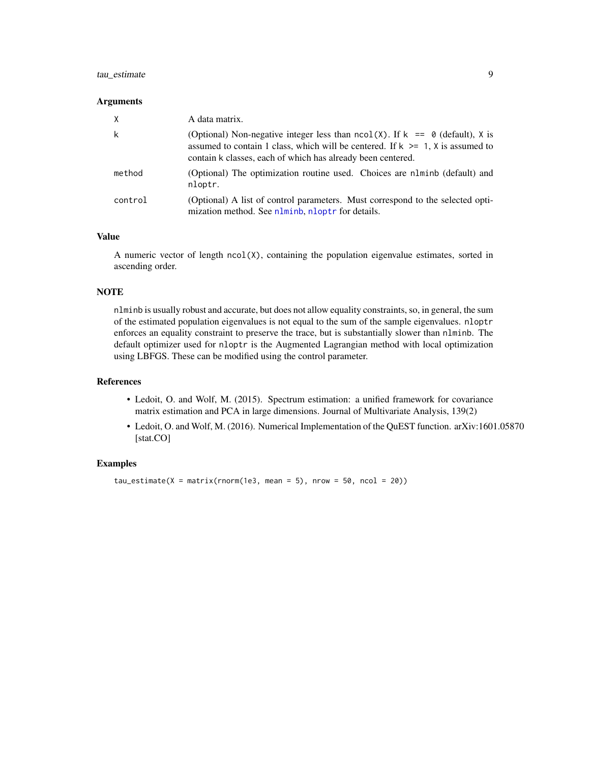# <span id="page-8-0"></span>tau\_estimate 9

#### **Arguments**

| X       | A data matrix.                                                                                                                                                                                                                         |
|---------|----------------------------------------------------------------------------------------------------------------------------------------------------------------------------------------------------------------------------------------|
| k       | (Optional) Non-negative integer less than $ncol(X)$ . If $k == 0$ (default), X is<br>assumed to contain 1 class, which will be centered. If $k \ge 1$ , X is assumed to<br>contain k classes, each of which has already been centered. |
| method  | (Optional) The optimization routine used. Choices are nlminb (default) and<br>nloptr.                                                                                                                                                  |
| control | (Optional) A list of control parameters. Must correspond to the selected opti-<br>mization method. See nlminb, nloptr for details.                                                                                                     |

#### Value

A numeric vector of length  $ncol(X)$ , containing the population eigenvalue estimates, sorted in ascending order.

# **NOTE**

nlminb is usually robust and accurate, but does not allow equality constraints, so, in general, the sum of the estimated population eigenvalues is not equal to the sum of the sample eigenvalues. nloptr enforces an equality constraint to preserve the trace, but is substantially slower than nlminb. The default optimizer used for nloptr is the Augmented Lagrangian method with local optimization using LBFGS. These can be modified using the control parameter.

#### References

- Ledoit, O. and Wolf, M. (2015). Spectrum estimation: a unified framework for covariance matrix estimation and PCA in large dimensions. Journal of Multivariate Analysis, 139(2)
- Ledoit, O. and Wolf, M. (2016). Numerical Implementation of the QuEST function. arXiv:1601.05870 [stat.CO]

#### Examples

 $tau_{\text{e}}(X = \text{matrix}(rnorm(1e3, \text{mean} = 5), \text{ nrow} = 50, \text{ ncol} = 20))$